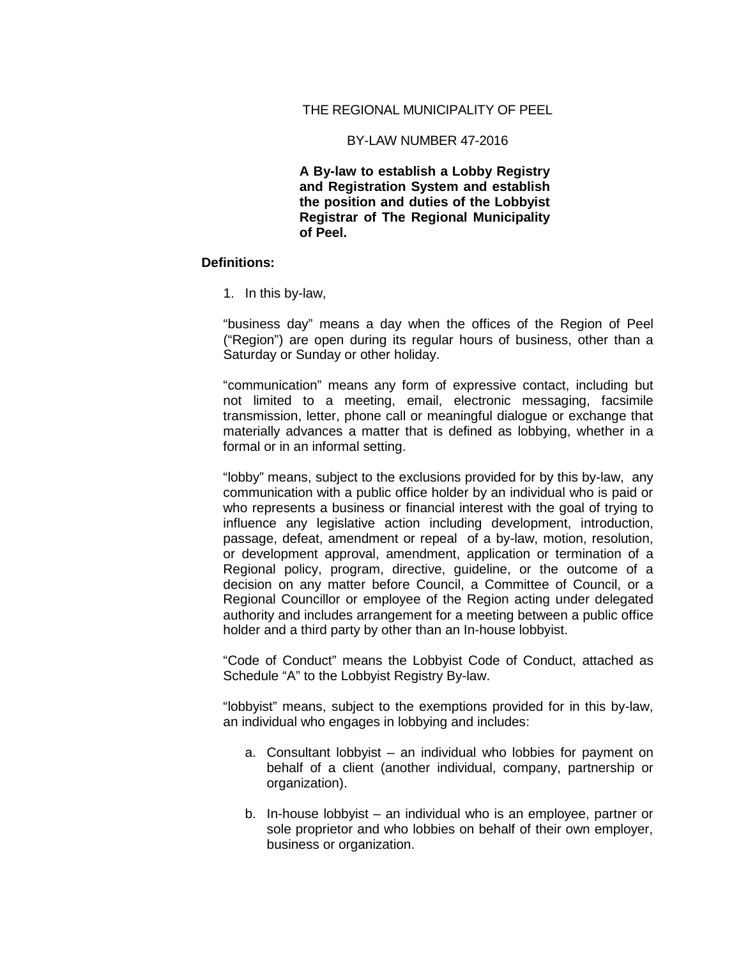## THE REGIONAL MUNICIPALITY OF PEEL

#### BY-LAW NUMBER 47-2016

**A By-law to establish a Lobby Registry and Registration System and establish the position and duties of the Lobbyist Registrar of The Regional Municipality of Peel.**

#### **Definitions:**

1. In this by-law,

"business day" means a day when the offices of the Region of Peel ("Region") are open during its regular hours of business, other than a Saturday or Sunday or other holiday.

"communication" means any form of expressive contact, including but not limited to a meeting, email, electronic messaging, facsimile transmission, letter, phone call or meaningful dialogue or exchange that materially advances a matter that is defined as lobbying, whether in a formal or in an informal setting.

"lobby" means, subject to the exclusions provided for by this by-law, any communication with a public office holder by an individual who is paid or who represents a business or financial interest with the goal of trying to influence any legislative action including development, introduction, passage, defeat, amendment or repeal of a by-law, motion, resolution, or development approval, amendment, application or termination of a Regional policy, program, directive, guideline, or the outcome of a decision on any matter before Council, a Committee of Council, or a Regional Councillor or employee of the Region acting under delegated authority and includes arrangement for a meeting between a public office holder and a third party by other than an In-house lobbyist.

"Code of Conduct" means the Lobbyist Code of Conduct, attached as Schedule "A" to the Lobbyist Registry By-law.

"lobbyist" means, subject to the exemptions provided for in this by-law, an individual who engages in lobbying and includes:

- a. Consultant lobbyist an individual who lobbies for payment on behalf of a client (another individual, company, partnership or organization).
- b. In-house lobbyist an individual who is an employee, partner or sole proprietor and who lobbies on behalf of their own employer, business or organization.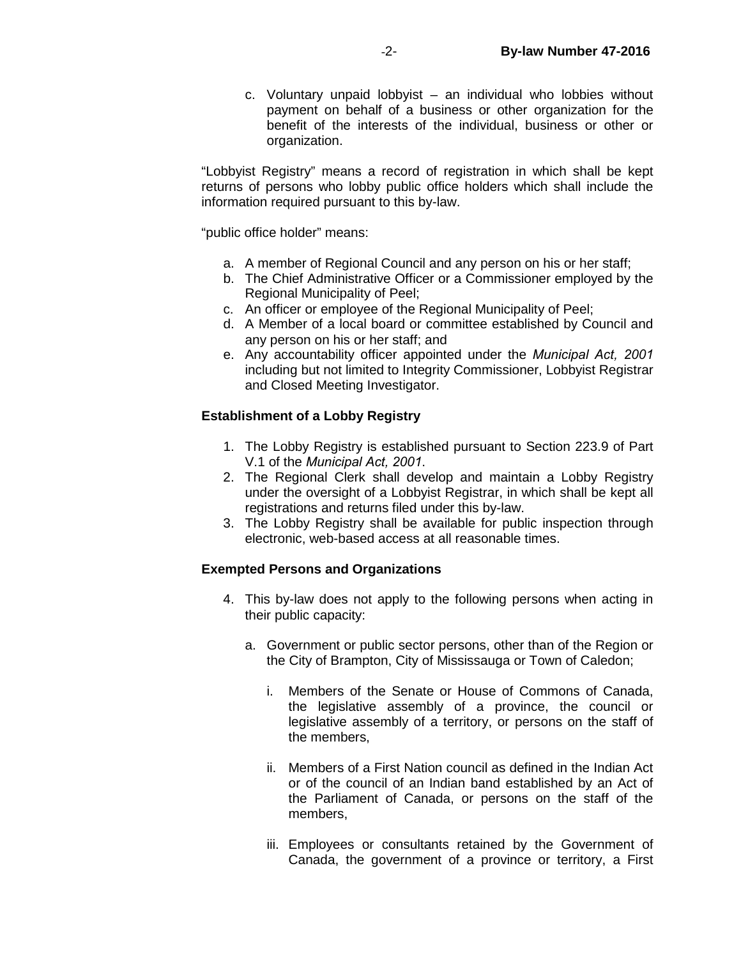c. Voluntary unpaid lobbyist – an individual who lobbies without payment on behalf of a business or other organization for the benefit of the interests of the individual, business or other or organization.

"Lobbyist Registry" means a record of registration in which shall be kept returns of persons who lobby public office holders which shall include the information required pursuant to this by-law.

"public office holder" means:

- a. A member of Regional Council and any person on his or her staff;
- b. The Chief Administrative Officer or a Commissioner employed by the Regional Municipality of Peel;
- c. An officer or employee of the Regional Municipality of Peel;
- d. A Member of a local board or committee established by Council and any person on his or her staff; and
- e. Any accountability officer appointed under the *Municipal Act, 2001*  including but not limited to Integrity Commissioner, Lobbyist Registrar and Closed Meeting Investigator.

## **Establishment of a Lobby Registry**

- 1. The Lobby Registry is established pursuant to Section 223.9 of Part V.1 of the *Municipal Act, 2001*.
- 2. The Regional Clerk shall develop and maintain a Lobby Registry under the oversight of a Lobbyist Registrar, in which shall be kept all registrations and returns filed under this by-law.
- 3. The Lobby Registry shall be available for public inspection through electronic, web-based access at all reasonable times.

## **Exempted Persons and Organizations**

- 4. This by-law does not apply to the following persons when acting in their public capacity:
	- a. Government or public sector persons, other than of the Region or the City of Brampton, City of Mississauga or Town of Caledon;
		- i. Members of the Senate or House of Commons of Canada, the legislative assembly of a province, the council or legislative assembly of a territory, or persons on the staff of the members,
		- ii. Members of a First Nation council as defined in the Indian Act or of the council of an Indian band established by an Act of the Parliament of Canada, or persons on the staff of the members,
		- iii. Employees or consultants retained by the Government of Canada, the government of a province or territory, a First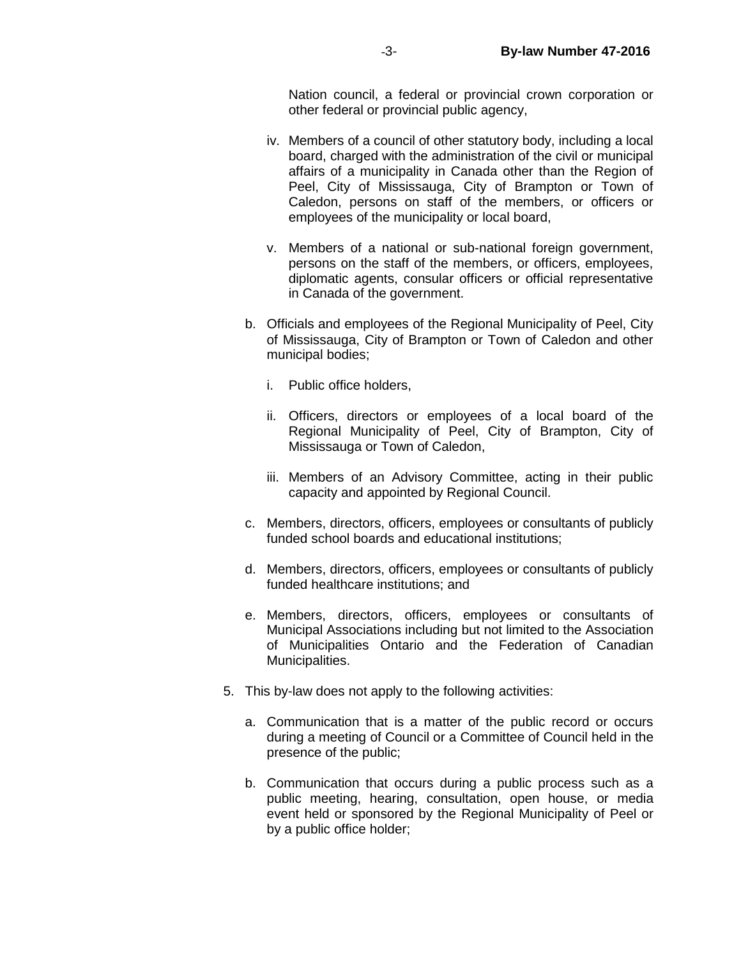Nation council, a federal or provincial crown corporation or other federal or provincial public agency,

- iv. Members of a council of other statutory body, including a local board, charged with the administration of the civil or municipal affairs of a municipality in Canada other than the Region of Peel, City of Mississauga, City of Brampton or Town of Caledon, persons on staff of the members, or officers or employees of the municipality or local board,
- v. Members of a national or sub-national foreign government, persons on the staff of the members, or officers, employees, diplomatic agents, consular officers or official representative in Canada of the government.
- b. Officials and employees of the Regional Municipality of Peel, City of Mississauga, City of Brampton or Town of Caledon and other municipal bodies;
	- i. Public office holders,
	- ii. Officers, directors or employees of a local board of the Regional Municipality of Peel, City of Brampton, City of Mississauga or Town of Caledon,
	- iii. Members of an Advisory Committee, acting in their public capacity and appointed by Regional Council.
- c. Members, directors, officers, employees or consultants of publicly funded school boards and educational institutions;
- d. Members, directors, officers, employees or consultants of publicly funded healthcare institutions; and
- e. Members, directors, officers, employees or consultants of Municipal Associations including but not limited to the Association of Municipalities Ontario and the Federation of Canadian Municipalities.
- 5. This by-law does not apply to the following activities:
	- a. Communication that is a matter of the public record or occurs during a meeting of Council or a Committee of Council held in the presence of the public;
	- b. Communication that occurs during a public process such as a public meeting, hearing, consultation, open house, or media event held or sponsored by the Regional Municipality of Peel or by a public office holder;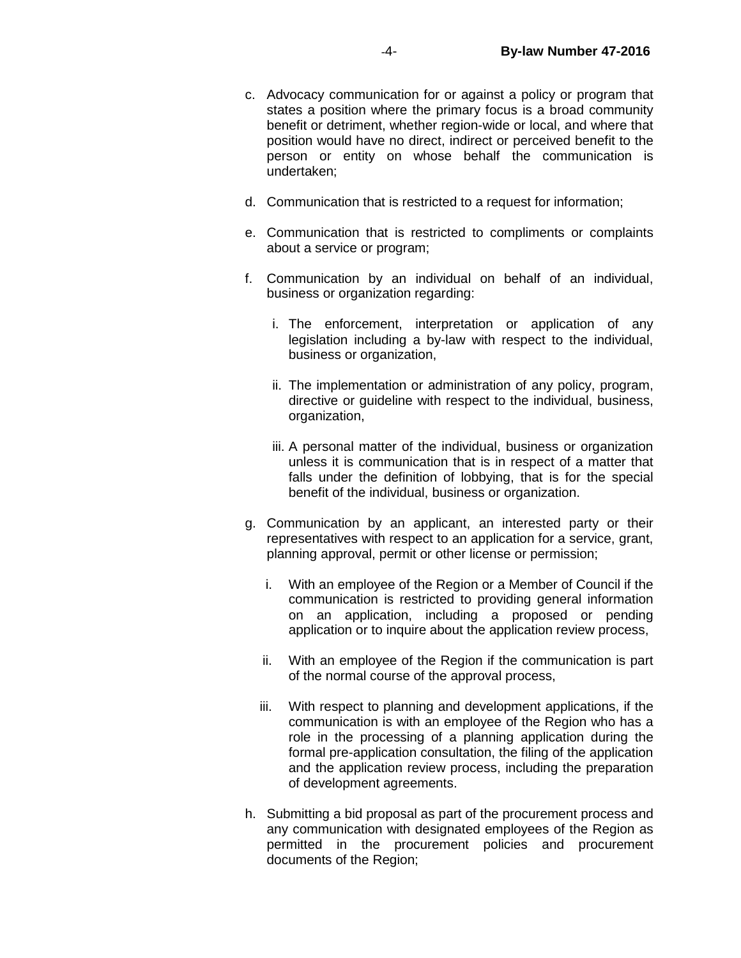- c. Advocacy communication for or against a policy or program that states a position where the primary focus is a broad community benefit or detriment, whether region-wide or local, and where that position would have no direct, indirect or perceived benefit to the person or entity on whose behalf the communication is undertaken;
- d. Communication that is restricted to a request for information;
- e. Communication that is restricted to compliments or complaints about a service or program;
- f. Communication by an individual on behalf of an individual, business or organization regarding:
	- i. The enforcement, interpretation or application of any legislation including a by-law with respect to the individual, business or organization,
	- ii. The implementation or administration of any policy, program, directive or guideline with respect to the individual, business, organization,
	- iii. A personal matter of the individual, business or organization unless it is communication that is in respect of a matter that falls under the definition of lobbying, that is for the special benefit of the individual, business or organization.
- g. Communication by an applicant, an interested party or their representatives with respect to an application for a service, grant, planning approval, permit or other license or permission;
	- i. With an employee of the Region or a Member of Council if the communication is restricted to providing general information on an application, including a proposed or pending application or to inquire about the application review process,
	- ii. With an employee of the Region if the communication is part of the normal course of the approval process,
	- iii. With respect to planning and development applications, if the communication is with an employee of the Region who has a role in the processing of a planning application during the formal pre-application consultation, the filing of the application and the application review process, including the preparation of development agreements.
- h. Submitting a bid proposal as part of the procurement process and any communication with designated employees of the Region as permitted in the procurement policies and procurement documents of the Region;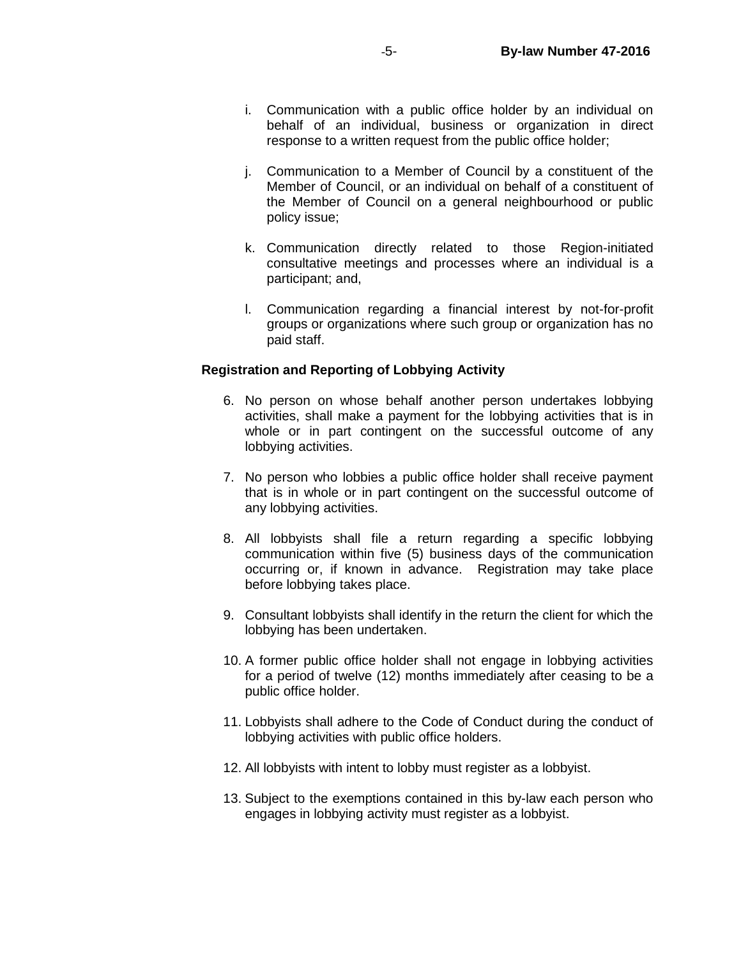- i. Communication with a public office holder by an individual on behalf of an individual, business or organization in direct response to a written request from the public office holder;
- j. Communication to a Member of Council by a constituent of the Member of Council, or an individual on behalf of a constituent of the Member of Council on a general neighbourhood or public policy issue;
- k. Communication directly related to those Region-initiated consultative meetings and processes where an individual is a participant; and,
- l. Communication regarding a financial interest by not-for-profit groups or organizations where such group or organization has no paid staff.

## **Registration and Reporting of Lobbying Activity**

- 6. No person on whose behalf another person undertakes lobbying activities, shall make a payment for the lobbying activities that is in whole or in part contingent on the successful outcome of any lobbying activities.
- 7. No person who lobbies a public office holder shall receive payment that is in whole or in part contingent on the successful outcome of any lobbying activities.
- 8. All lobbyists shall file a return regarding a specific lobbying communication within five (5) business days of the communication occurring or, if known in advance. Registration may take place before lobbying takes place.
- 9. Consultant lobbyists shall identify in the return the client for which the lobbying has been undertaken.
- 10. A former public office holder shall not engage in lobbying activities for a period of twelve (12) months immediately after ceasing to be a public office holder.
- 11. Lobbyists shall adhere to the Code of Conduct during the conduct of lobbying activities with public office holders.
- 12. All lobbyists with intent to lobby must register as a lobbyist.
- 13. Subject to the exemptions contained in this by-law each person who engages in lobbying activity must register as a lobbyist.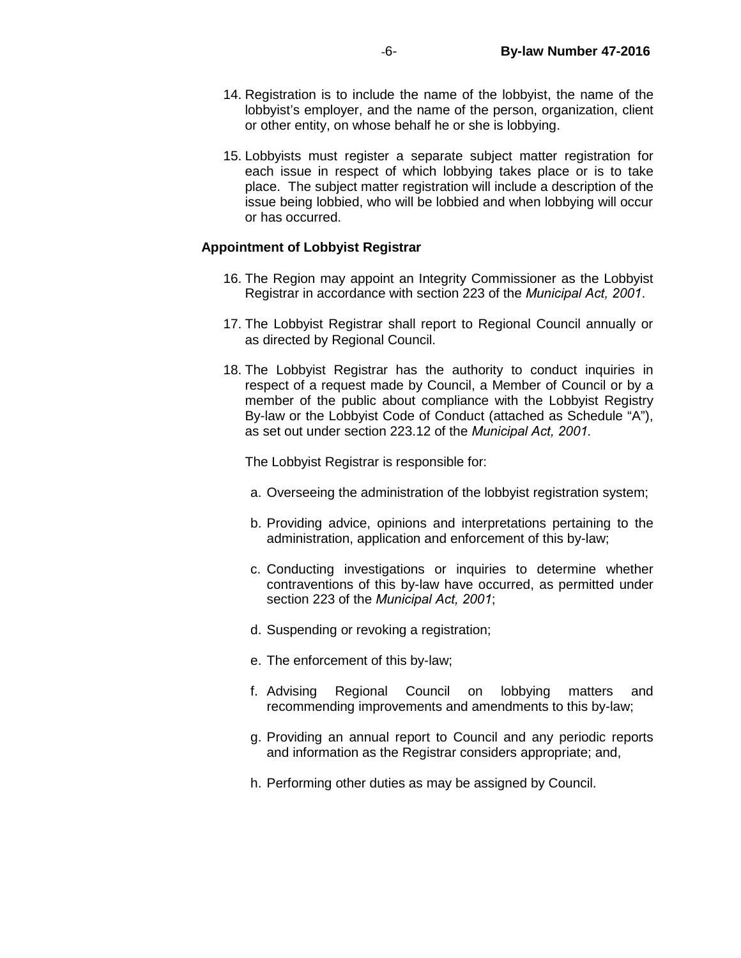- 14. Registration is to include the name of the lobbyist, the name of the lobbyist's employer, and the name of the person, organization, client or other entity, on whose behalf he or she is lobbying.
- 15. Lobbyists must register a separate subject matter registration for each issue in respect of which lobbying takes place or is to take place. The subject matter registration will include a description of the issue being lobbied, who will be lobbied and when lobbying will occur or has occurred.

#### **Appointment of Lobbyist Registrar**

- 16. The Region may appoint an Integrity Commissioner as the Lobbyist Registrar in accordance with section 223 of the *Municipal Act, 2001*.
- 17. The Lobbyist Registrar shall report to Regional Council annually or as directed by Regional Council.
- 18. The Lobbyist Registrar has the authority to conduct inquiries in respect of a request made by Council, a Member of Council or by a member of the public about compliance with the Lobbyist Registry By-law or the Lobbyist Code of Conduct (attached as Schedule "A"), as set out under section 223.12 of the *Municipal Act, 2001.*

The Lobbyist Registrar is responsible for:

- a. Overseeing the administration of the lobbyist registration system;
- b. Providing advice, opinions and interpretations pertaining to the administration, application and enforcement of this by-law;
- c. Conducting investigations or inquiries to determine whether contraventions of this by-law have occurred, as permitted under section 223 of the *Municipal Act, 2001*;
- d. Suspending or revoking a registration;
- e. The enforcement of this by-law;
- f. Advising Regional Council on lobbying matters and recommending improvements and amendments to this by-law;
- g. Providing an annual report to Council and any periodic reports and information as the Registrar considers appropriate; and,
- h. Performing other duties as may be assigned by Council.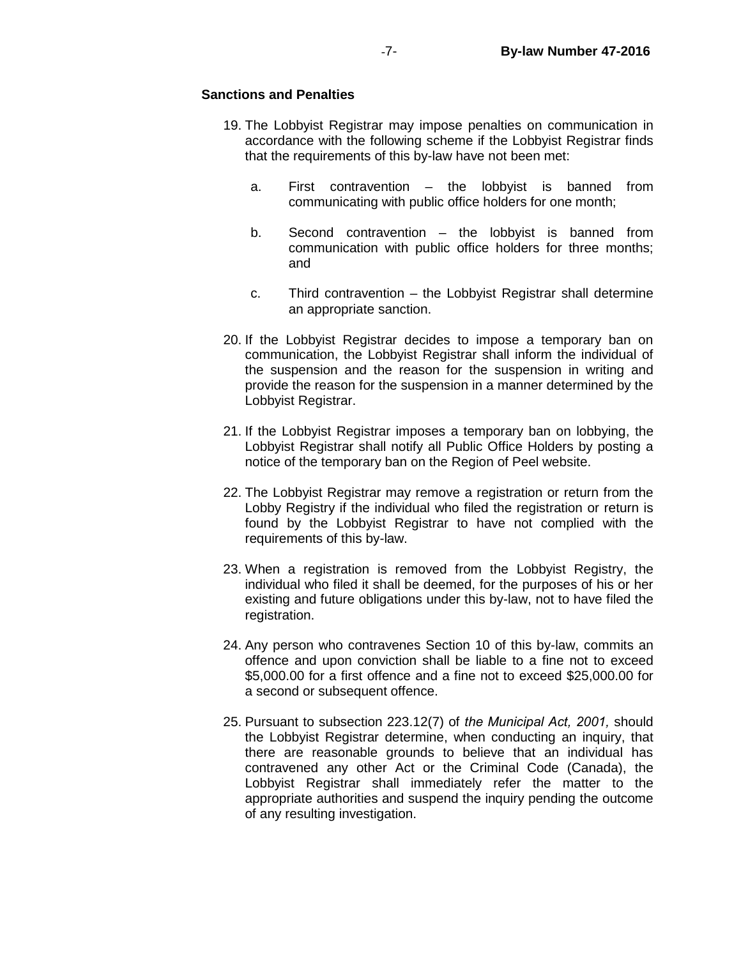## **Sanctions and Penalties**

- 19. The Lobbyist Registrar may impose penalties on communication in accordance with the following scheme if the Lobbyist Registrar finds that the requirements of this by-law have not been met:
	- a. First contravention the lobbyist is banned from communicating with public office holders for one month;
	- b. Second contravention the lobbyist is banned from communication with public office holders for three months; and
	- c. Third contravention the Lobbyist Registrar shall determine an appropriate sanction.
- 20. If the Lobbyist Registrar decides to impose a temporary ban on communication, the Lobbyist Registrar shall inform the individual of the suspension and the reason for the suspension in writing and provide the reason for the suspension in a manner determined by the Lobbyist Registrar.
- 21. If the Lobbyist Registrar imposes a temporary ban on lobbying, the Lobbyist Registrar shall notify all Public Office Holders by posting a notice of the temporary ban on the Region of Peel website.
- 22. The Lobbyist Registrar may remove a registration or return from the Lobby Registry if the individual who filed the registration or return is found by the Lobbyist Registrar to have not complied with the requirements of this by-law.
- 23. When a registration is removed from the Lobbyist Registry, the individual who filed it shall be deemed, for the purposes of his or her existing and future obligations under this by-law, not to have filed the registration.
- 24. Any person who contravenes Section 10 of this by-law, commits an offence and upon conviction shall be liable to a fine not to exceed \$5,000.00 for a first offence and a fine not to exceed \$25,000.00 for a second or subsequent offence.
- 25. Pursuant to subsection 223.12(7) of *the Municipal Act, 2001,* should the Lobbyist Registrar determine, when conducting an inquiry, that there are reasonable grounds to believe that an individual has contravened any other Act or the Criminal Code (Canada), the Lobbyist Registrar shall immediately refer the matter to the appropriate authorities and suspend the inquiry pending the outcome of any resulting investigation.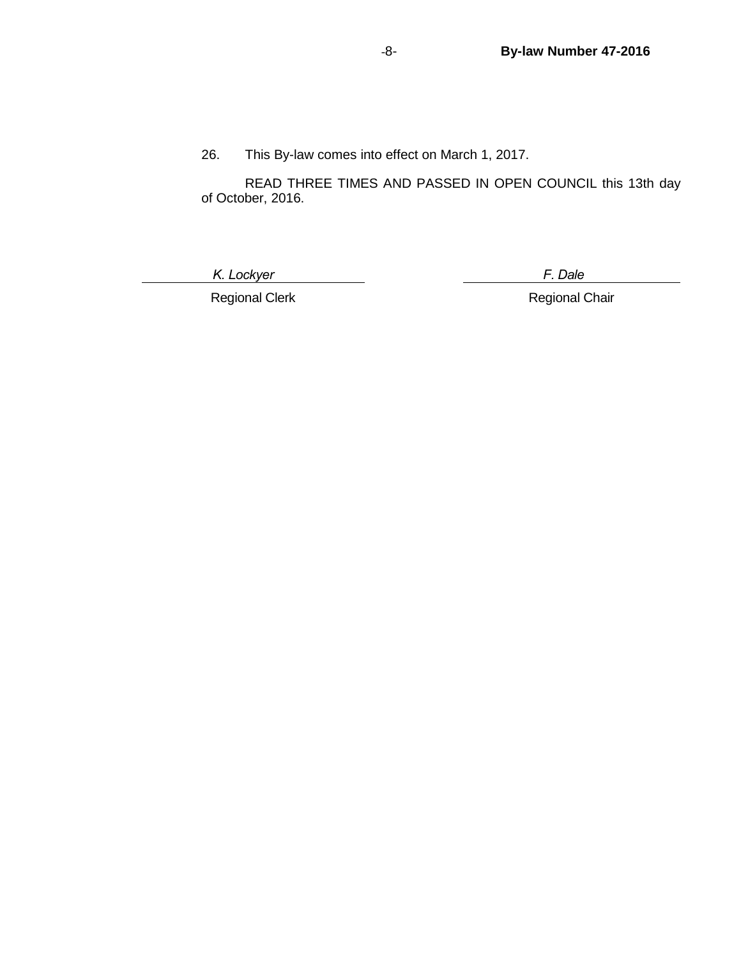26. This By-law comes into effect on March 1, 2017.

READ THREE TIMES AND PASSED IN OPEN COUNCIL this 13th day of October, 2016.

 *K. Lockyer F. Dale*

Regional Clerk **Regional Chair**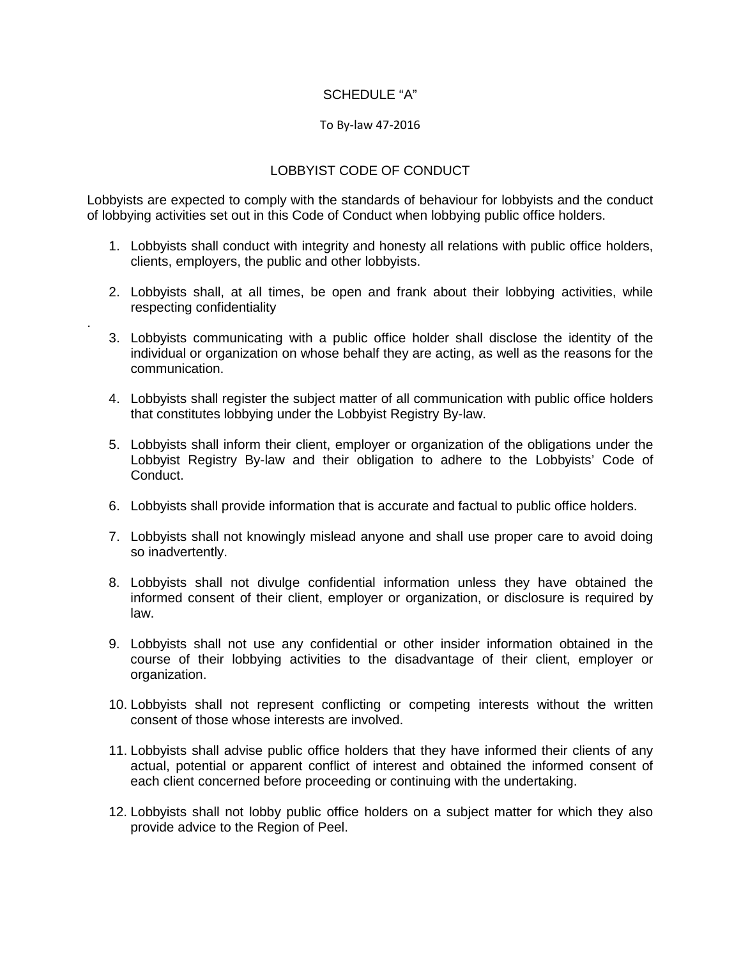## SCHEDULE "A"

## To By-law 47-2016

# LOBBYIST CODE OF CONDUCT

Lobbyists are expected to comply with the standards of behaviour for lobbyists and the conduct of lobbying activities set out in this Code of Conduct when lobbying public office holders.

- 1. Lobbyists shall conduct with integrity and honesty all relations with public office holders, clients, employers, the public and other lobbyists.
- 2. Lobbyists shall, at all times, be open and frank about their lobbying activities, while respecting confidentiality

.

- 3. Lobbyists communicating with a public office holder shall disclose the identity of the individual or organization on whose behalf they are acting, as well as the reasons for the communication.
- 4. Lobbyists shall register the subject matter of all communication with public office holders that constitutes lobbying under the Lobbyist Registry By-law.
- 5. Lobbyists shall inform their client, employer or organization of the obligations under the Lobbyist Registry By-law and their obligation to adhere to the Lobbyists' Code of Conduct.
- 6. Lobbyists shall provide information that is accurate and factual to public office holders.
- 7. Lobbyists shall not knowingly mislead anyone and shall use proper care to avoid doing so inadvertently.
- 8. Lobbyists shall not divulge confidential information unless they have obtained the informed consent of their client, employer or organization, or disclosure is required by law.
- 9. Lobbyists shall not use any confidential or other insider information obtained in the course of their lobbying activities to the disadvantage of their client, employer or organization.
- 10. Lobbyists shall not represent conflicting or competing interests without the written consent of those whose interests are involved.
- 11. Lobbyists shall advise public office holders that they have informed their clients of any actual, potential or apparent conflict of interest and obtained the informed consent of each client concerned before proceeding or continuing with the undertaking.
- 12. Lobbyists shall not lobby public office holders on a subject matter for which they also provide advice to the Region of Peel.